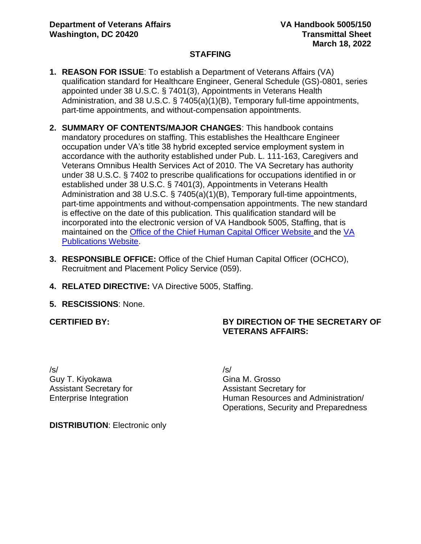#### **STAFFING**

- **1. REASON FOR ISSUE**: To establish a Department of Veterans Affairs (VA) qualification standard for Healthcare Engineer, General Schedule (GS)-0801, series appointed under 38 U.S.C. § 7401(3), Appointments in Veterans Health Administration, and 38 U.S.C. § 7405(a)(1)(B), Temporary full-time appointments, part-time appointments, and without-compensation appointments.
- **2. SUMMARY OF CONTENTS/MAJOR CHANGES**: This handbook contains mandatory procedures on staffing. This establishes the Healthcare Engineer occupation under VA's title 38 hybrid excepted service employment system in accordance with the authority established under Pub. L. 111-163, Caregivers and Veterans Omnibus Health Services Act of 2010. The VA Secretary has authority under 38 U.S.C. § 7402 to prescribe qualifications for occupations identified in or established under 38 U.S.C. § 7401(3), Appointments in Veterans Health Administration and 38 U.S.C. § 7405(a)(1)(B), Temporary full-time appointments, part-time appointments and without-compensation appointments. The new standard is effective on the date of this publication. This qualification standard will be incorporated into the electronic version of VA Handbook 5005, Staffing, that is maintained on the [Office of the Chief Human Capital Officer Website](https://vaww.va.gov/OHRM/HRLibrary/Dir-Policy.htm) and the [VA](https://vaww.va.gov/vapubs/search_action.cfm?dType=1)  [Publications Website.](https://vaww.va.gov/vapubs/search_action.cfm?dType=1)
- **3. RESPONSIBLE OFFICE:** Office of the Chief Human Capital Officer (OCHCO), Recruitment and Placement Policy Service (059).
- **4. RELATED DIRECTIVE:** VA Directive 5005, Staffing.
- **5. RESCISSIONS**: None.

**CERTIFIED BY:**

# **BY DIRECTION OF THE SECRETARY OF VETERANS AFFAIRS:**

/s/ Guy T. Kiyokawa Assistant Secretary for Enterprise Integration

/s/ Gina M. Grosso Assistant Secretary for Human Resources and Administration/ Operations, Security and Preparedness

**DISTRIBUTION**: Electronic only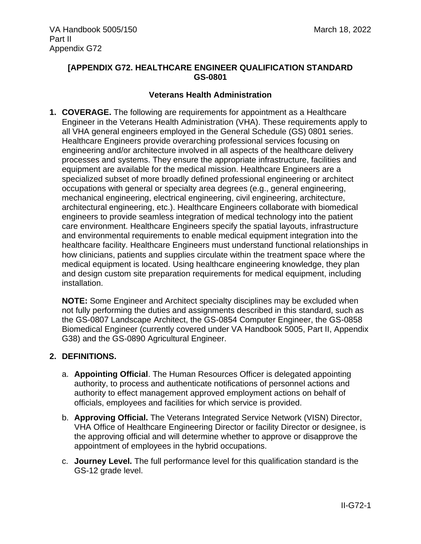### **[APPENDIX G72. HEALTHCARE ENGINEER QUALIFICATION STANDARD GS-0801**

#### **Veterans Health Administration**

**1. COVERAGE.** The following are requirements for appointment as a Healthcare Engineer in the Veterans Health Administration (VHA). These requirements apply to all VHA general engineers employed in the General Schedule (GS) 0801 series. Healthcare Engineers provide overarching professional services focusing on engineering and/or architecture involved in all aspects of the healthcare delivery processes and systems. They ensure the appropriate infrastructure, facilities and equipment are available for the medical mission. Healthcare Engineers are a specialized subset of more broadly defined professional engineering or architect occupations with general or specialty area degrees (e.g., general engineering, mechanical engineering, electrical engineering, civil engineering, architecture, architectural engineering, etc.). Healthcare Engineers collaborate with biomedical engineers to provide seamless integration of medical technology into the patient care environment. Healthcare Engineers specify the spatial layouts, infrastructure and environmental requirements to enable medical equipment integration into the healthcare facility. Healthcare Engineers must understand functional relationships in how clinicians, patients and supplies circulate within the treatment space where the medical equipment is located. Using healthcare engineering knowledge, they plan and design custom site preparation requirements for medical equipment, including installation.

**NOTE:** Some Engineer and Architect specialty disciplines may be excluded when not fully performing the duties and assignments described in this standard, such as the GS-0807 Landscape Architect, the GS-0854 Computer Engineer, the GS-0858 Biomedical Engineer (currently covered under VA Handbook 5005, Part II, Appendix G38) and the GS-0890 Agricultural Engineer.

### **2. DEFINITIONS.**

- a. **Appointing Official**. The Human Resources Officer is delegated appointing authority, to process and authenticate notifications of personnel actions and authority to effect management approved employment actions on behalf of officials, employees and facilities for which service is provided.
- b. **Approving Official.** The Veterans Integrated Service Network (VISN) Director, VHA Office of Healthcare Engineering Director or facility Director or designee, is the approving official and will determine whether to approve or disapprove the appointment of employees in the hybrid occupations.
- c. **Journey Level.** The full performance level for this qualification standard is the GS-12 grade level.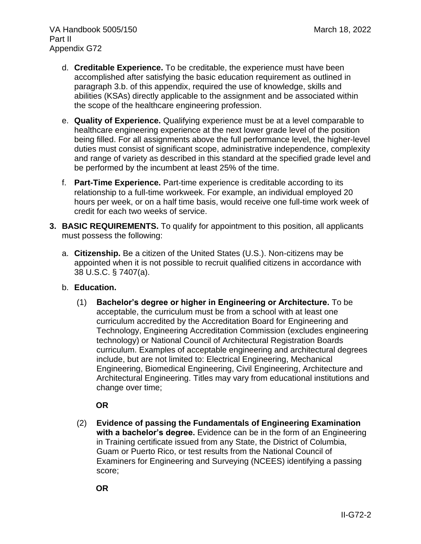- d. **Creditable Experience.** To be creditable, the experience must have been accomplished after satisfying the basic education requirement as outlined in paragraph 3.b. of this appendix, required the use of knowledge, skills and abilities (KSAs) directly applicable to the assignment and be associated within the scope of the healthcare engineering profession.
- e. **Quality of Experience.** Qualifying experience must be at a level comparable to healthcare engineering experience at the next lower grade level of the position being filled. For all assignments above the full performance level, the higher-level duties must consist of significant scope, administrative independence, complexity and range of variety as described in this standard at the specified grade level and be performed by the incumbent at least 25% of the time.
- f. **Part-Time Experience.** Part-time experience is creditable according to its relationship to a full-time workweek. For example, an individual employed 20 hours per week, or on a half time basis, would receive one full-time work week of credit for each two weeks of service.
- **3. BASIC REQUIREMENTS.** To qualify for appointment to this position, all applicants must possess the following:
	- a. **Citizenship.** Be a citizen of the United States (U.S.). Non-citizens may be appointed when it is not possible to recruit qualified citizens in accordance with 38 U.S.C. § 7407(a).
	- b. **Education.**
		- (1) **Bachelor's degree or higher in Engineering or Architecture.** To be acceptable, the curriculum must be from a school with at least one curriculum accredited by the Accreditation Board for Engineering and Technology, Engineering Accreditation Commission (excludes engineering technology) or National Council of Architectural Registration Boards curriculum. Examples of acceptable engineering and architectural degrees include, but are not limited to: Electrical Engineering, Mechanical Engineering, Biomedical Engineering, Civil Engineering, Architecture and Architectural Engineering. Titles may vary from educational institutions and change over time;

# **OR**

(2) **Evidence of passing the Fundamentals of Engineering Examination with a bachelor's degree.** Evidence can be in the form of an Engineering in Training certificate issued from any State, the District of Columbia, Guam or Puerto Rico, or test results from the National Council of Examiners for Engineering and Surveying (NCEES) identifying a passing score;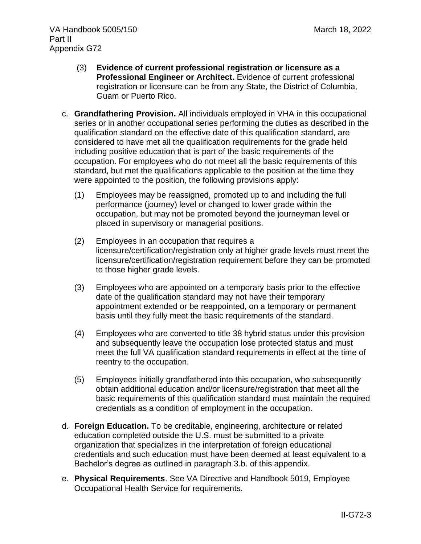- (3) **Evidence of current professional registration or licensure as a Professional Engineer or Architect.** Evidence of current professional registration or licensure can be from any State, the District of Columbia, Guam or Puerto Rico.
- c. **Grandfathering Provision.** All individuals employed in VHA in this occupational series or in another occupational series performing the duties as described in the qualification standard on the effective date of this qualification standard, are considered to have met all the qualification requirements for the grade held including positive education that is part of the basic requirements of the occupation. For employees who do not meet all the basic requirements of this standard, but met the qualifications applicable to the position at the time they were appointed to the position, the following provisions apply:
	- (1) Employees may be reassigned, promoted up to and including the full performance (journey) level or changed to lower grade within the occupation, but may not be promoted beyond the journeyman level or placed in supervisory or managerial positions.
	- (2) Employees in an occupation that requires a licensure/certification/registration only at higher grade levels must meet the licensure/certification/registration requirement before they can be promoted to those higher grade levels.
	- (3) Employees who are appointed on a temporary basis prior to the effective date of the qualification standard may not have their temporary appointment extended or be reappointed, on a temporary or permanent basis until they fully meet the basic requirements of the standard.
	- (4) Employees who are converted to title 38 hybrid status under this provision and subsequently leave the occupation lose protected status and must meet the full VA qualification standard requirements in effect at the time of reentry to the occupation.
	- (5) Employees initially grandfathered into this occupation, who subsequently obtain additional education and/or licensure/registration that meet all the basic requirements of this qualification standard must maintain the required credentials as a condition of employment in the occupation.
- d. **Foreign Education.** To be creditable, engineering, architecture or related education completed outside the U.S. must be submitted to a private organization that specializes in the interpretation of foreign educational credentials and such education must have been deemed at least equivalent to a Bachelor's degree as outlined in paragraph 3.b. of this appendix.
- e. **Physical Requirements**. See VA Directive and Handbook 5019, Employee Occupational Health Service for requirements.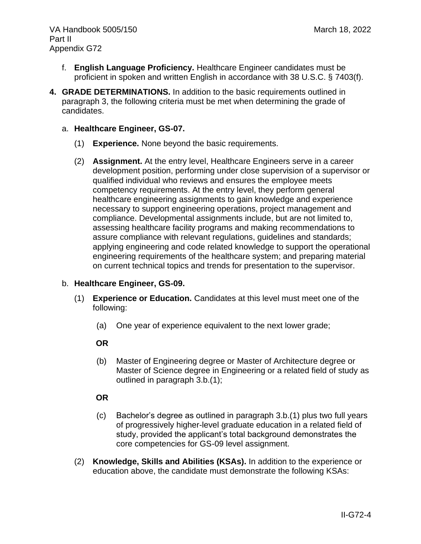- f. **English Language Proficiency.** Healthcare Engineer candidates must be proficient in spoken and written English in accordance with 38 U.S.C. § 7403(f).
- **4. GRADE DETERMINATIONS.** In addition to the basic requirements outlined in paragraph 3, the following criteria must be met when determining the grade of candidates.

### a. **Healthcare Engineer, GS-07.**

- (1) **Experience.** None beyond the basic requirements.
- (2) **Assignment.** At the entry level, Healthcare Engineers serve in a career development position, performing under close supervision of a supervisor or qualified individual who reviews and ensures the employee meets competency requirements. At the entry level, they perform general healthcare engineering assignments to gain knowledge and experience necessary to support engineering operations, project management and compliance. Developmental assignments include, but are not limited to, assessing healthcare facility programs and making recommendations to assure compliance with relevant regulations, guidelines and standards; applying engineering and code related knowledge to support the operational engineering requirements of the healthcare system; and preparing material on current technical topics and trends for presentation to the supervisor.

### b. **Healthcare Engineer, GS-09.**

- (1) **Experience or Education.** Candidates at this level must meet one of the following:
	- (a) One year of experience equivalent to the next lower grade;

### **OR**

(b) Master of Engineering degree or Master of Architecture degree or Master of Science degree in Engineering or a related field of study as outlined in paragraph 3.b.(1);

### **OR**

- (c) Bachelor's degree as outlined in paragraph 3.b.(1) plus two full years of progressively higher-level graduate education in a related field of study, provided the applicant's total background demonstrates the core competencies for GS-09 level assignment.
- (2) **Knowledge, Skills and Abilities (KSAs).** In addition to the experience or education above, the candidate must demonstrate the following KSAs: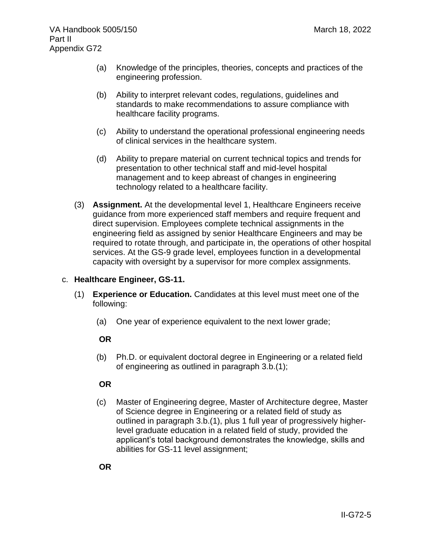- (a) Knowledge of the principles, theories, concepts and practices of the engineering profession.
- (b) Ability to interpret relevant codes, regulations, guidelines and standards to make recommendations to assure compliance with healthcare facility programs.
- (c) Ability to understand the operational professional engineering needs of clinical services in the healthcare system.
- (d) Ability to prepare material on current technical topics and trends for presentation to other technical staff and mid-level hospital management and to keep abreast of changes in engineering technology related to a healthcare facility.
- (3) **Assignment.** At the developmental level 1, Healthcare Engineers receive guidance from more experienced staff members and require frequent and direct supervision. Employees complete technical assignments in the engineering field as assigned by senior Healthcare Engineers and may be required to rotate through, and participate in, the operations of other hospital services. At the GS-9 grade level, employees function in a developmental capacity with oversight by a supervisor for more complex assignments.

### c. **Healthcare Engineer, GS-11.**

- (1) **Experience or Education.** Candidates at this level must meet one of the following:
	- (a) One year of experience equivalent to the next lower grade;

# **OR**

(b) Ph.D. or equivalent doctoral degree in Engineering or a related field of engineering as outlined in paragraph 3.b.(1);

# **OR**

(c) Master of Engineering degree, Master of Architecture degree, Master of Science degree in Engineering or a related field of study as outlined in paragraph 3.b.(1), plus 1 full year of progressively higherlevel graduate education in a related field of study, provided the applicant's total background demonstrates the knowledge, skills and abilities for GS-11 level assignment;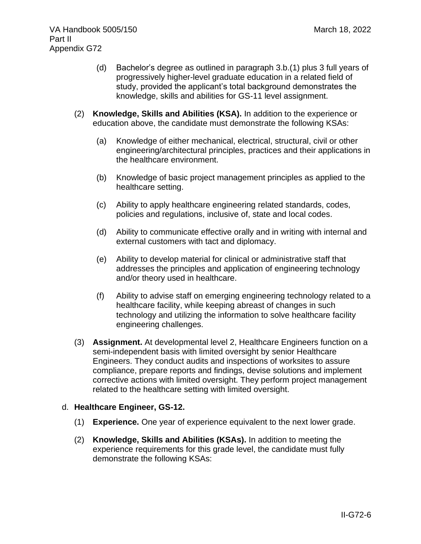- (d) Bachelor's degree as outlined in paragraph 3.b.(1) plus 3 full years of progressively higher-level graduate education in a related field of study, provided the applicant's total background demonstrates the knowledge, skills and abilities for GS-11 level assignment.
- (2) **Knowledge, Skills and Abilities (KSA).** In addition to the experience or education above, the candidate must demonstrate the following KSAs:
	- (a) Knowledge of either mechanical, electrical, structural, civil or other engineering/architectural principles, practices and their applications in the healthcare environment.
	- (b) Knowledge of basic project management principles as applied to the healthcare setting.
	- (c) Ability to apply healthcare engineering related standards, codes, policies and regulations, inclusive of, state and local codes.
	- (d) Ability to communicate effective orally and in writing with internal and external customers with tact and diplomacy.
	- (e) Ability to develop material for clinical or administrative staff that addresses the principles and application of engineering technology and/or theory used in healthcare.
	- (f) Ability to advise staff on emerging engineering technology related to a healthcare facility, while keeping abreast of changes in such technology and utilizing the information to solve healthcare facility engineering challenges.
- (3) **Assignment.** At developmental level 2, Healthcare Engineers function on a semi-independent basis with limited oversight by senior Healthcare Engineers. They conduct audits and inspections of worksites to assure compliance, prepare reports and findings, devise solutions and implement corrective actions with limited oversight. They perform project management related to the healthcare setting with limited oversight.

# d. **Healthcare Engineer, GS-12.**

- (1) **Experience.** One year of experience equivalent to the next lower grade.
- (2) **Knowledge, Skills and Abilities (KSAs).** In addition to meeting the experience requirements for this grade level, the candidate must fully demonstrate the following KSAs: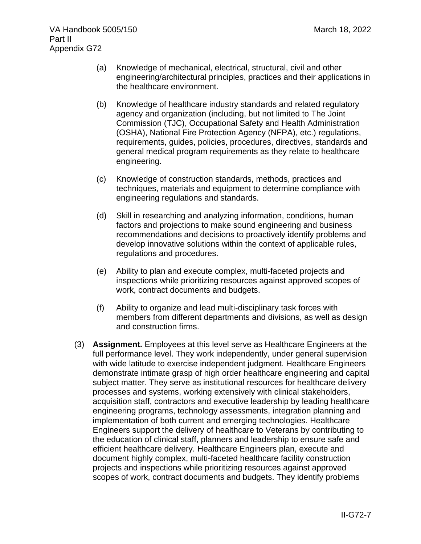- (a) Knowledge of mechanical, electrical, structural, civil and other engineering/architectural principles, practices and their applications in the healthcare environment.
- (b) Knowledge of healthcare industry standards and related regulatory agency and organization (including, but not limited to The Joint Commission (TJC), Occupational Safety and Health Administration (OSHA), National Fire Protection Agency (NFPA), etc.) regulations, requirements, guides, policies, procedures, directives, standards and general medical program requirements as they relate to healthcare engineering.
- (c) Knowledge of construction standards, methods, practices and techniques, materials and equipment to determine compliance with engineering regulations and standards.
- (d) Skill in researching and analyzing information, conditions, human factors and projections to make sound engineering and business recommendations and decisions to proactively identify problems and develop innovative solutions within the context of applicable rules, regulations and procedures.
- (e) Ability to plan and execute complex, multi-faceted projects and inspections while prioritizing resources against approved scopes of work, contract documents and budgets.
- (f) Ability to organize and lead multi-disciplinary task forces with members from different departments and divisions, as well as design and construction firms.
- (3) **Assignment.** Employees at this level serve as Healthcare Engineers at the full performance level. They work independently, under general supervision with wide latitude to exercise independent judgment. Healthcare Engineers demonstrate intimate grasp of high order healthcare engineering and capital subject matter. They serve as institutional resources for healthcare delivery processes and systems, working extensively with clinical stakeholders, acquisition staff, contractors and executive leadership by leading healthcare engineering programs, technology assessments, integration planning and implementation of both current and emerging technologies. Healthcare Engineers support the delivery of healthcare to Veterans by contributing to the education of clinical staff, planners and leadership to ensure safe and efficient healthcare delivery. Healthcare Engineers plan, execute and document highly complex, multi-faceted healthcare facility construction projects and inspections while prioritizing resources against approved scopes of work, contract documents and budgets. They identify problems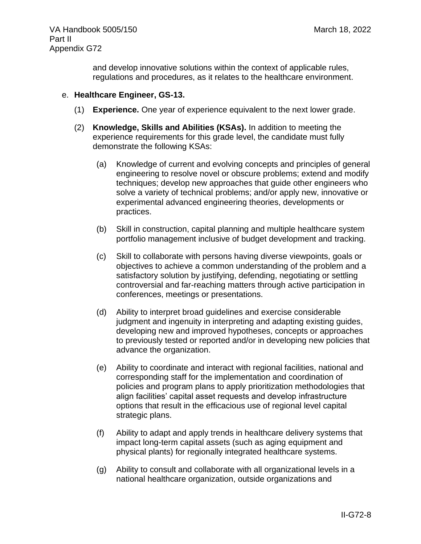and develop innovative solutions within the context of applicable rules, regulations and procedures, as it relates to the healthcare environment.

### e. **Healthcare Engineer, GS-13.**

- (1) **Experience.** One year of experience equivalent to the next lower grade.
- (2) **Knowledge, Skills and Abilities (KSAs).** In addition to meeting the experience requirements for this grade level, the candidate must fully demonstrate the following KSAs:
	- (a) Knowledge of current and evolving concepts and principles of general engineering to resolve novel or obscure problems; extend and modify techniques; develop new approaches that guide other engineers who solve a variety of technical problems; and/or apply new, innovative or experimental advanced engineering theories, developments or practices.
	- (b) Skill in construction, capital planning and multiple healthcare system portfolio management inclusive of budget development and tracking.
	- (c) Skill to collaborate with persons having diverse viewpoints, goals or objectives to achieve a common understanding of the problem and a satisfactory solution by justifying, defending, negotiating or settling controversial and far-reaching matters through active participation in conferences, meetings or presentations.
	- (d) Ability to interpret broad guidelines and exercise considerable judgment and ingenuity in interpreting and adapting existing guides, developing new and improved hypotheses, concepts or approaches to previously tested or reported and/or in developing new policies that advance the organization.
	- (e) Ability to coordinate and interact with regional facilities, national and corresponding staff for the implementation and coordination of policies and program plans to apply prioritization methodologies that align facilities' capital asset requests and develop infrastructure options that result in the efficacious use of regional level capital strategic plans.
	- (f) Ability to adapt and apply trends in healthcare delivery systems that impact long-term capital assets (such as aging equipment and physical plants) for regionally integrated healthcare systems.
	- (g) Ability to consult and collaborate with all organizational levels in a national healthcare organization, outside organizations and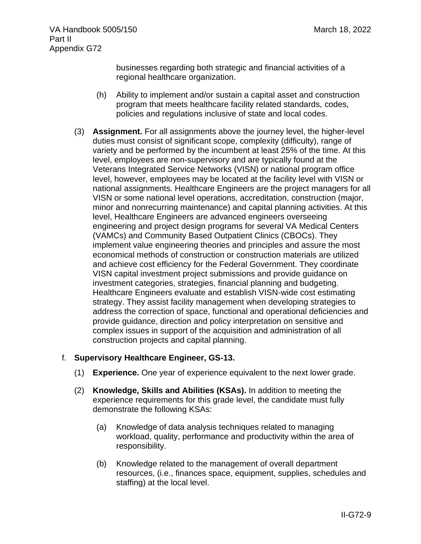businesses regarding both strategic and financial activities of a regional healthcare organization.

- (h) Ability to implement and/or sustain a capital asset and construction program that meets healthcare facility related standards, codes, policies and regulations inclusive of state and local codes.
- (3) **Assignment.** For all assignments above the journey level, the higher-level duties must consist of significant scope, complexity (difficulty), range of variety and be performed by the incumbent at least 25% of the time. At this level, employees are non-supervisory and are typically found at the Veterans Integrated Service Networks (VISN) or national program office level, however, employees may be located at the facility level with VISN or national assignments. Healthcare Engineers are the project managers for all VISN or some national level operations, accreditation, construction (major, minor and nonrecurring maintenance) and capital planning activities. At this level, Healthcare Engineers are advanced engineers overseeing engineering and project design programs for several VA Medical Centers (VAMCs) and Community Based Outpatient Clinics (CBOCs). They implement value engineering theories and principles and assure the most economical methods of construction or construction materials are utilized and achieve cost efficiency for the Federal Government. They coordinate VISN capital investment project submissions and provide guidance on investment categories, strategies, financial planning and budgeting. Healthcare Engineers evaluate and establish VISN-wide cost estimating strategy. They assist facility management when developing strategies to address the correction of space, functional and operational deficiencies and provide guidance, direction and policy interpretation on sensitive and complex issues in support of the acquisition and administration of all construction projects and capital planning.

### f. **Supervisory Healthcare Engineer, GS-13.**

- (1) **Experience.** One year of experience equivalent to the next lower grade.
- (2) **Knowledge, Skills and Abilities (KSAs).** In addition to meeting the experience requirements for this grade level, the candidate must fully demonstrate the following KSAs:
	- (a) Knowledge of data analysis techniques related to managing workload, quality, performance and productivity within the area of responsibility.
	- (b) Knowledge related to the management of overall department resources, (i.e., finances space, equipment, supplies, schedules and staffing) at the local level.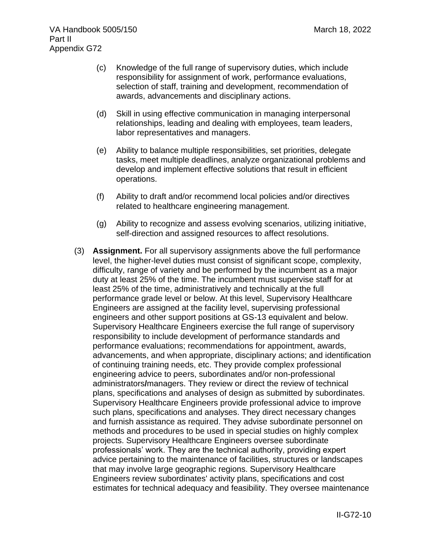- (c) Knowledge of the full range of supervisory duties, which include responsibility for assignment of work, performance evaluations, selection of staff, training and development, recommendation of awards, advancements and disciplinary actions.
- (d) Skill in using effective communication in managing interpersonal relationships, leading and dealing with employees, team leaders, labor representatives and managers.
- (e) Ability to balance multiple responsibilities, set priorities, delegate tasks, meet multiple deadlines, analyze organizational problems and develop and implement effective solutions that result in efficient operations.
- (f) Ability to draft and/or recommend local policies and/or directives related to healthcare engineering management.
- (g) Ability to recognize and assess evolving scenarios, utilizing initiative, self-direction and assigned resources to affect resolutions.
- (3) **Assignment.** For all supervisory assignments above the full performance level, the higher-level duties must consist of significant scope, complexity, difficulty, range of variety and be performed by the incumbent as a major duty at least 25% of the time. The incumbent must supervise staff for at least 25% of the time, administratively and technically at the full performance grade level or below. At this level, Supervisory Healthcare Engineers are assigned at the facility level, supervising professional engineers and other support positions at GS-13 equivalent and below. Supervisory Healthcare Engineers exercise the full range of supervisory responsibility to include development of performance standards and performance evaluations; recommendations for appointment, awards, advancements, and when appropriate, disciplinary actions; and identification of continuing training needs, etc. They provide complex professional engineering advice to peers, subordinates and/or non-professional administrators**/**managers. They review or direct the review of technical plans, specifications and analyses of design as submitted by subordinates. Supervisory Healthcare Engineers provide professional advice to improve such plans, specifications and analyses. They direct necessary changes and furnish assistance as required. They advise subordinate personnel on methods and procedures to be used in special studies on highly complex projects. Supervisory Healthcare Engineers oversee subordinate professionals' work. They are the technical authority, providing expert advice pertaining to the maintenance of facilities, structures or landscapes that may involve large geographic regions. Supervisory Healthcare Engineers review subordinates' activity plans, specifications and cost estimates for technical adequacy and feasibility. They oversee maintenance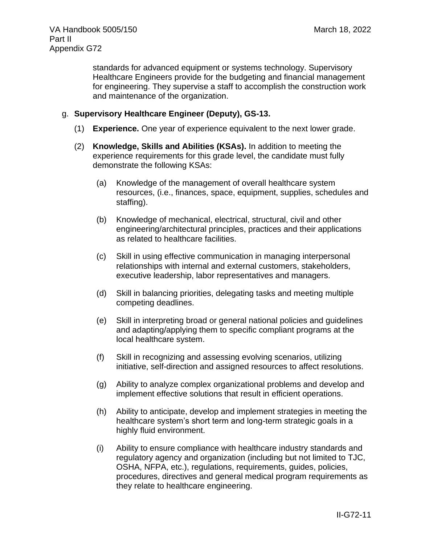standards for advanced equipment or systems technology. Supervisory Healthcare Engineers provide for the budgeting and financial management for engineering. They supervise a staff to accomplish the construction work and maintenance of the organization.

### g. **Supervisory Healthcare Engineer (Deputy), GS-13.**

- (1) **Experience.** One year of experience equivalent to the next lower grade.
- (2) **Knowledge, Skills and Abilities (KSAs).** In addition to meeting the experience requirements for this grade level, the candidate must fully demonstrate the following KSAs:
	- (a) Knowledge of the management of overall healthcare system resources, (i.e., finances, space, equipment, supplies, schedules and staffing).
	- (b) Knowledge of mechanical, electrical, structural, civil and other engineering/architectural principles, practices and their applications as related to healthcare facilities.
	- (c) Skill in using effective communication in managing interpersonal relationships with internal and external customers, stakeholders, executive leadership, labor representatives and managers.
	- (d) Skill in balancing priorities, delegating tasks and meeting multiple competing deadlines.
	- (e) Skill in interpreting broad or general national policies and guidelines and adapting/applying them to specific compliant programs at the local healthcare system.
	- (f) Skill in recognizing and assessing evolving scenarios, utilizing initiative, self-direction and assigned resources to affect resolutions.
	- (g) Ability to analyze complex organizational problems and develop and implement effective solutions that result in efficient operations.
	- (h) Ability to anticipate, develop and implement strategies in meeting the healthcare system's short term and long-term strategic goals in a highly fluid environment.
	- (i) Ability to ensure compliance with healthcare industry standards and regulatory agency and organization (including but not limited to TJC, OSHA, NFPA, etc.), regulations, requirements, guides, policies, procedures, directives and general medical program requirements as they relate to healthcare engineering.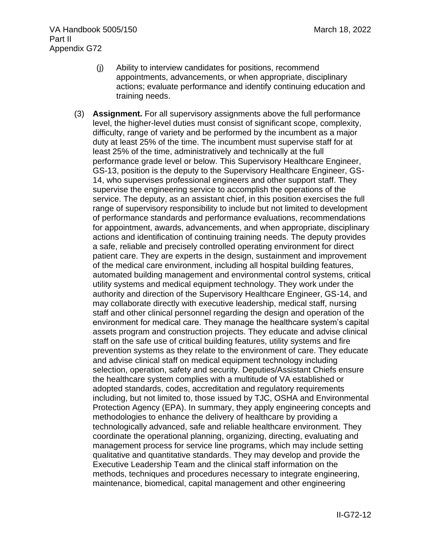- (j) Ability to interview candidates for positions, recommend appointments, advancements, or when appropriate, disciplinary actions; evaluate performance and identify continuing education and training needs.
- (3) **Assignment.** For all supervisory assignments above the full performance level, the higher-level duties must consist of significant scope, complexity, difficulty, range of variety and be performed by the incumbent as a major duty at least 25% of the time. The incumbent must supervise staff for at least 25% of the time, administratively and technically at the full performance grade level or below. This Supervisory Healthcare Engineer, GS-13, position is the deputy to the Supervisory Healthcare Engineer, GS-14, who supervises professional engineers and other support staff. They supervise the engineering service to accomplish the operations of the service. The deputy, as an assistant chief, in this position exercises the full range of supervisory responsibility to include but not limited to development of performance standards and performance evaluations, recommendations for appointment, awards, advancements, and when appropriate, disciplinary actions and identification of continuing training needs. The deputy provides a safe, reliable and precisely controlled operating environment for direct patient care. They are experts in the design, sustainment and improvement of the medical care environment, including all hospital building features, automated building management and environmental control systems, critical utility systems and medical equipment technology. They work under the authority and direction of the Supervisory Healthcare Engineer, GS-14, and may collaborate directly with executive leadership, medical staff, nursing staff and other clinical personnel regarding the design and operation of the environment for medical care. They manage the healthcare system's capital assets program and construction projects. They educate and advise clinical staff on the safe use of critical building features, utility systems and fire prevention systems as they relate to the environment of care. They educate and advise clinical staff on medical equipment technology including selection, operation, safety and security. Deputies/Assistant Chiefs ensure the healthcare system complies with a multitude of VA established or adopted standards, codes, accreditation and regulatory requirements including, but not limited to, those issued by TJC, OSHA and Environmental Protection Agency (EPA). In summary, they apply engineering concepts and methodologies to enhance the delivery of healthcare by providing a technologically advanced, safe and reliable healthcare environment. They coordinate the operational planning, organizing, directing, evaluating and management process for service line programs, which may include setting qualitative and quantitative standards. They may develop and provide the Executive Leadership Team and the clinical staff information on the methods, techniques and procedures necessary to integrate engineering, maintenance, biomedical, capital management and other engineering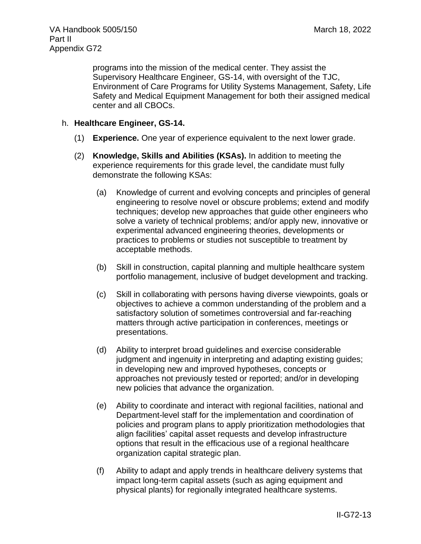programs into the mission of the medical center. They assist the Supervisory Healthcare Engineer, GS-14, with oversight of the TJC, Environment of Care Programs for Utility Systems Management, Safety, Life Safety and Medical Equipment Management for both their assigned medical center and all CBOCs.

### h. **Healthcare Engineer, GS-14.**

- (1) **Experience.** One year of experience equivalent to the next lower grade.
- (2) **Knowledge, Skills and Abilities (KSAs).** In addition to meeting the experience requirements for this grade level, the candidate must fully demonstrate the following KSAs:
	- (a) Knowledge of current and evolving concepts and principles of general engineering to resolve novel or obscure problems; extend and modify techniques; develop new approaches that guide other engineers who solve a variety of technical problems; and/or apply new, innovative or experimental advanced engineering theories, developments or practices to problems or studies not susceptible to treatment by acceptable methods.
	- (b) Skill in construction, capital planning and multiple healthcare system portfolio management, inclusive of budget development and tracking.
	- (c) Skill in collaborating with persons having diverse viewpoints, goals or objectives to achieve a common understanding of the problem and a satisfactory solution of sometimes controversial and far-reaching matters through active participation in conferences, meetings or presentations.
	- (d) Ability to interpret broad guidelines and exercise considerable judgment and ingenuity in interpreting and adapting existing guides; in developing new and improved hypotheses, concepts or approaches not previously tested or reported; and/or in developing new policies that advance the organization.
	- (e) Ability to coordinate and interact with regional facilities, national and Department-level staff for the implementation and coordination of policies and program plans to apply prioritization methodologies that align facilities' capital asset requests and develop infrastructure options that result in the efficacious use of a regional healthcare organization capital strategic plan.
	- (f) Ability to adapt and apply trends in healthcare delivery systems that impact long-term capital assets (such as aging equipment and physical plants) for regionally integrated healthcare systems.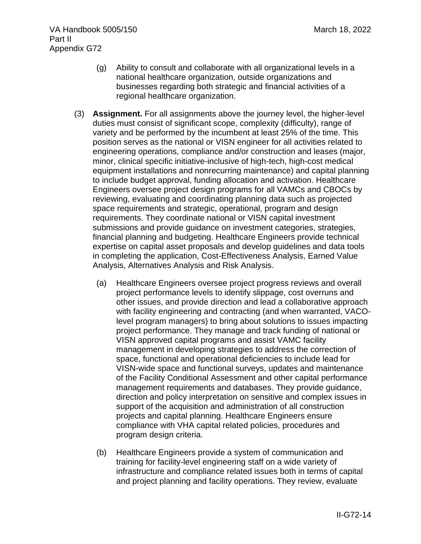- (g) Ability to consult and collaborate with all organizational levels in a national healthcare organization, outside organizations and businesses regarding both strategic and financial activities of a regional healthcare organization.
- (3) **Assignment.** For all assignments above the journey level, the higher-level duties must consist of significant scope, complexity (difficulty), range of variety and be performed by the incumbent at least 25% of the time. This position serves as the national or VISN engineer for all activities related to engineering operations, compliance and/or construction and leases (major, minor, clinical specific initiative-inclusive of high-tech, high-cost medical equipment installations and nonrecurring maintenance) and capital planning to include budget approval, funding allocation and activation. Healthcare Engineers oversee project design programs for all VAMCs and CBOCs by reviewing, evaluating and coordinating planning data such as projected space requirements and strategic, operational, program and design requirements. They coordinate national or VISN capital investment submissions and provide guidance on investment categories, strategies, financial planning and budgeting. Healthcare Engineers provide technical expertise on capital asset proposals and develop guidelines and data tools in completing the application, Cost-Effectiveness Analysis, Earned Value Analysis, Alternatives Analysis and Risk Analysis.
	- (a) Healthcare Engineers oversee project progress reviews and overall project performance levels to identify slippage, cost overruns and other issues, and provide direction and lead a collaborative approach with facility engineering and contracting (and when warranted, VACOlevel program managers) to bring about solutions to issues impacting project performance. They manage and track funding of national or VISN approved capital programs and assist VAMC facility management in developing strategies to address the correction of space, functional and operational deficiencies to include lead for VISN-wide space and functional surveys, updates and maintenance of the Facility Conditional Assessment and other capital performance management requirements and databases. They provide guidance, direction and policy interpretation on sensitive and complex issues in support of the acquisition and administration of all construction projects and capital planning. Healthcare Engineers ensure compliance with VHA capital related policies, procedures and program design criteria.
	- (b) Healthcare Engineers provide a system of communication and training for facility-level engineering staff on a wide variety of infrastructure and compliance related issues both in terms of capital and project planning and facility operations. They review, evaluate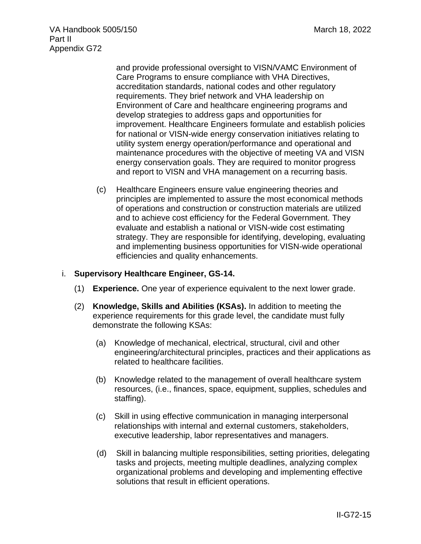VA Handbook 5005/150 March 18, 2022 Part II Appendix G72

> and provide professional oversight to VISN/VAMC Environment of Care Programs to ensure compliance with VHA Directives, accreditation standards, national codes and other regulatory requirements. They brief network and VHA leadership on Environment of Care and healthcare engineering programs and develop strategies to address gaps and opportunities for improvement. Healthcare Engineers formulate and establish policies for national or VISN-wide energy conservation initiatives relating to utility system energy operation/performance and operational and maintenance procedures with the objective of meeting VA and VISN energy conservation goals. They are required to monitor progress and report to VISN and VHA management on a recurring basis.

(c) Healthcare Engineers ensure value engineering theories and principles are implemented to assure the most economical methods of operations and construction or construction materials are utilized and to achieve cost efficiency for the Federal Government. They evaluate and establish a national or VISN-wide cost estimating strategy. They are responsible for identifying, developing, evaluating and implementing business opportunities for VISN-wide operational efficiencies and quality enhancements.

#### i. **Supervisory Healthcare Engineer, GS-14.**

- (1) **Experience.** One year of experience equivalent to the next lower grade.
- (2) **Knowledge, Skills and Abilities (KSAs).** In addition to meeting the experience requirements for this grade level, the candidate must fully demonstrate the following KSAs:
	- (a) Knowledge of mechanical, electrical, structural, civil and other engineering/architectural principles, practices and their applications as related to healthcare facilities.
	- (b) Knowledge related to the management of overall healthcare system resources, (i.e., finances, space, equipment, supplies, schedules and staffing).
	- (c) Skill in using effective communication in managing interpersonal relationships with internal and external customers, stakeholders, executive leadership, labor representatives and managers.
	- (d) Skill in balancing multiple responsibilities, setting priorities, delegating tasks and projects, meeting multiple deadlines, analyzing complex organizational problems and developing and implementing effective solutions that result in efficient operations.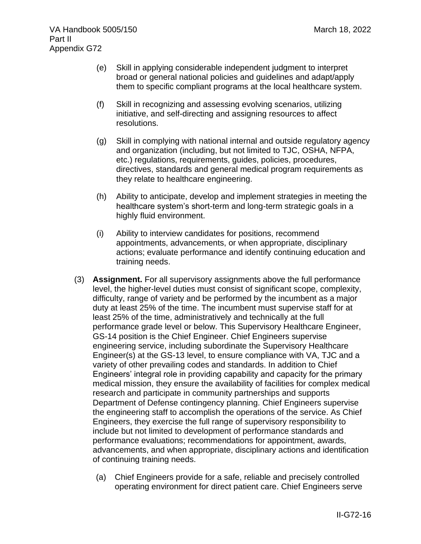- (e) Skill in applying considerable independent judgment to interpret broad or general national policies and guidelines and adapt/apply them to specific compliant programs at the local healthcare system.
- (f) Skill in recognizing and assessing evolving scenarios, utilizing initiative, and self-directing and assigning resources to affect resolutions.
- (g) Skill in complying with national internal and outside regulatory agency and organization (including, but not limited to TJC, OSHA, NFPA, etc.) regulations, requirements, guides, policies, procedures, directives, standards and general medical program requirements as they relate to healthcare engineering.
- (h) Ability to anticipate, develop and implement strategies in meeting the healthcare system's short-term and long-term strategic goals in a highly fluid environment.
- (i) Ability to interview candidates for positions, recommend appointments, advancements, or when appropriate, disciplinary actions; evaluate performance and identify continuing education and training needs.
- (3) **Assignment.** For all supervisory assignments above the full performance level, the higher-level duties must consist of significant scope, complexity, difficulty, range of variety and be performed by the incumbent as a major duty at least 25% of the time. The incumbent must supervise staff for at least 25% of the time, administratively and technically at the full performance grade level or below. This Supervisory Healthcare Engineer, GS-14 position is the Chief Engineer. Chief Engineers supervise engineering service, including subordinate the Supervisory Healthcare Engineer(s) at the GS-13 level, to ensure compliance with VA, TJC and a variety of other prevailing codes and standards. In addition to Chief Engineers' integral role in providing capability and capacity for the primary medical mission, they ensure the availability of facilities for complex medical research and participate in community partnerships and supports Department of Defense contingency planning. Chief Engineers supervise the engineering staff to accomplish the operations of the service. As Chief Engineers, they exercise the full range of supervisory responsibility to include but not limited to development of performance standards and performance evaluations; recommendations for appointment, awards, advancements, and when appropriate, disciplinary actions and identification of continuing training needs.
	- (a) Chief Engineers provide for a safe, reliable and precisely controlled operating environment for direct patient care. Chief Engineers serve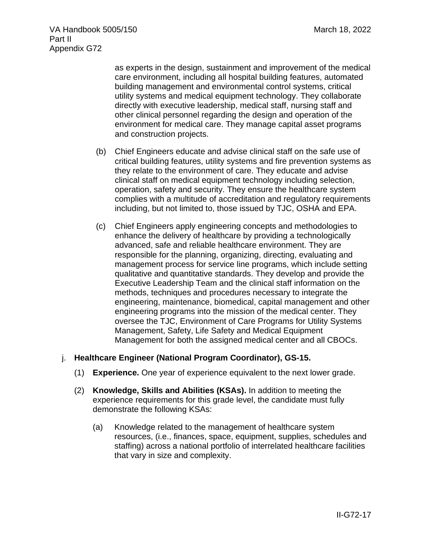as experts in the design, sustainment and improvement of the medical care environment, including all hospital building features, automated building management and environmental control systems, critical utility systems and medical equipment technology. They collaborate directly with executive leadership, medical staff, nursing staff and other clinical personnel regarding the design and operation of the environment for medical care. They manage capital asset programs and construction projects.

- (b) Chief Engineers educate and advise clinical staff on the safe use of critical building features, utility systems and fire prevention systems as they relate to the environment of care. They educate and advise clinical staff on medical equipment technology including selection, operation, safety and security. They ensure the healthcare system complies with a multitude of accreditation and regulatory requirements including, but not limited to, those issued by TJC, OSHA and EPA.
- (c) Chief Engineers apply engineering concepts and methodologies to enhance the delivery of healthcare by providing a technologically advanced, safe and reliable healthcare environment. They are responsible for the planning, organizing, directing, evaluating and management process for service line programs, which include setting qualitative and quantitative standards. They develop and provide the Executive Leadership Team and the clinical staff information on the methods, techniques and procedures necessary to integrate the engineering, maintenance, biomedical, capital management and other engineering programs into the mission of the medical center. They oversee the TJC, Environment of Care Programs for Utility Systems Management, Safety, Life Safety and Medical Equipment Management for both the assigned medical center and all CBOCs.

### j. **Healthcare Engineer (National Program Coordinator), GS-15.**

- (1) **Experience.** One year of experience equivalent to the next lower grade.
- (2) **Knowledge, Skills and Abilities (KSAs).** In addition to meeting the experience requirements for this grade level, the candidate must fully demonstrate the following KSAs:
	- (a) Knowledge related to the management of healthcare system resources, (i.e., finances, space, equipment, supplies, schedules and staffing) across a national portfolio of interrelated healthcare facilities that vary in size and complexity.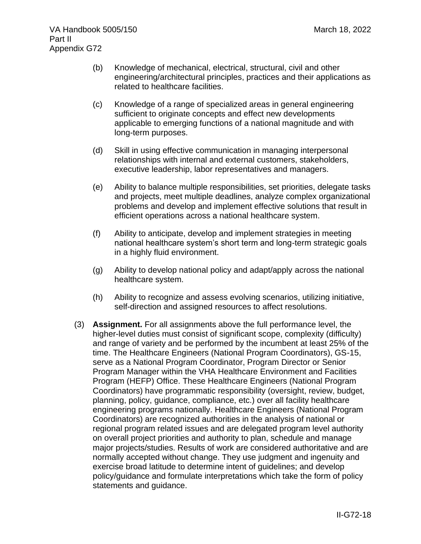- (b) Knowledge of mechanical, electrical, structural, civil and other engineering/architectural principles, practices and their applications as related to healthcare facilities.
- (c) Knowledge of a range of specialized areas in general engineering sufficient to originate concepts and effect new developments applicable to emerging functions of a national magnitude and with long-term purposes.
- (d) Skill in using effective communication in managing interpersonal relationships with internal and external customers, stakeholders, executive leadership, labor representatives and managers.
- (e) Ability to balance multiple responsibilities, set priorities, delegate tasks and projects, meet multiple deadlines, analyze complex organizational problems and develop and implement effective solutions that result in efficient operations across a national healthcare system.
- (f) Ability to anticipate, develop and implement strategies in meeting national healthcare system's short term and long-term strategic goals in a highly fluid environment.
- (g) Ability to develop national policy and adapt/apply across the national healthcare system.
- (h) Ability to recognize and assess evolving scenarios, utilizing initiative, self-direction and assigned resources to affect resolutions.
- (3) **Assignment.** For all assignments above the full performance level, the higher-level duties must consist of significant scope, complexity (difficulty) and range of variety and be performed by the incumbent at least 25% of the time. The Healthcare Engineers (National Program Coordinators), GS-15, serve as a National Program Coordinator, Program Director or Senior Program Manager within the VHA Healthcare Environment and Facilities Program (HEFP) Office. These Healthcare Engineers (National Program Coordinators) have programmatic responsibility (oversight, review, budget, planning, policy, guidance, compliance, etc.) over all facility healthcare engineering programs nationally. Healthcare Engineers (National Program Coordinators) are recognized authorities in the analysis of national or regional program related issues and are delegated program level authority on overall project priorities and authority to plan, schedule and manage major projects/studies. Results of work are considered authoritative and are normally accepted without change. They use judgment and ingenuity and exercise broad latitude to determine intent of guidelines; and develop policy/guidance and formulate interpretations which take the form of policy statements and guidance.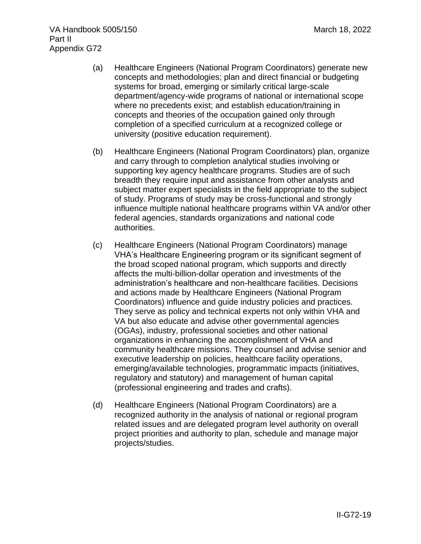- (a) Healthcare Engineers (National Program Coordinators) generate new concepts and methodologies; plan and direct financial or budgeting systems for broad, emerging or similarly critical large-scale department/agency-wide programs of national or international scope where no precedents exist; and establish education/training in concepts and theories of the occupation gained only through completion of a specified curriculum at a recognized college or university (positive education requirement).
- (b) Healthcare Engineers (National Program Coordinators) plan, organize and carry through to completion analytical studies involving or supporting key agency healthcare programs. Studies are of such breadth they require input and assistance from other analysts and subject matter expert specialists in the field appropriate to the subject of study. Programs of study may be cross-functional and strongly influence multiple national healthcare programs within VA and/or other federal agencies, standards organizations and national code authorities.
- (c) Healthcare Engineers (National Program Coordinators) manage VHA's Healthcare Engineering program or its significant segment of the broad scoped national program, which supports and directly affects the multi-billion-dollar operation and investments of the administration's healthcare and non-healthcare facilities. Decisions and actions made by Healthcare Engineers (National Program Coordinators) influence and guide industry policies and practices. They serve as policy and technical experts not only within VHA and VA but also educate and advise other governmental agencies (OGAs), industry, professional societies and other national organizations in enhancing the accomplishment of VHA and community healthcare missions. They counsel and advise senior and executive leadership on policies, healthcare facility operations, emerging/available technologies, programmatic impacts (initiatives, regulatory and statutory) and management of human capital (professional engineering and trades and crafts).
- (d) Healthcare Engineers (National Program Coordinators) are a recognized authority in the analysis of national or regional program related issues and are delegated program level authority on overall project priorities and authority to plan, schedule and manage major projects/studies.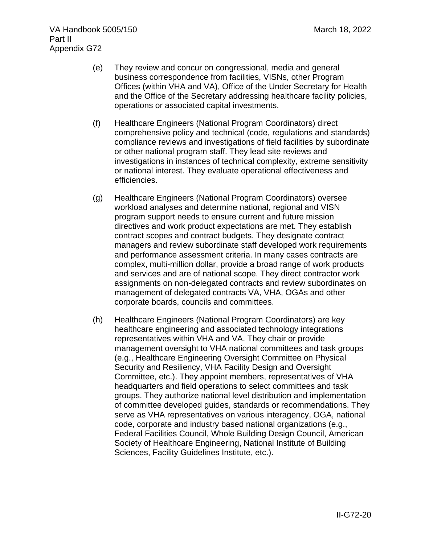- (e) They review and concur on congressional, media and general business correspondence from facilities, VISNs, other Program Offices (within VHA and VA), Office of the Under Secretary for Health and the Office of the Secretary addressing healthcare facility policies, operations or associated capital investments.
- (f) Healthcare Engineers (National Program Coordinators) direct comprehensive policy and technical (code, regulations and standards) compliance reviews and investigations of field facilities by subordinate or other national program staff. They lead site reviews and investigations in instances of technical complexity, extreme sensitivity or national interest. They evaluate operational effectiveness and efficiencies.
- (g) Healthcare Engineers (National Program Coordinators) oversee workload analyses and determine national, regional and VISN program support needs to ensure current and future mission directives and work product expectations are met. They establish contract scopes and contract budgets. They designate contract managers and review subordinate staff developed work requirements and performance assessment criteria. In many cases contracts are complex, multi-million dollar, provide a broad range of work products and services and are of national scope. They direct contractor work assignments on non-delegated contracts and review subordinates on management of delegated contracts VA, VHA, OGAs and other corporate boards, councils and committees.
- (h) Healthcare Engineers (National Program Coordinators) are key healthcare engineering and associated technology integrations representatives within VHA and VA. They chair or provide management oversight to VHA national committees and task groups (e.g., Healthcare Engineering Oversight Committee on Physical Security and Resiliency, VHA Facility Design and Oversight Committee, etc.). They appoint members, representatives of VHA headquarters and field operations to select committees and task groups. They authorize national level distribution and implementation of committee developed guides, standards or recommendations. They serve as VHA representatives on various interagency, OGA, national code, corporate and industry based national organizations (e.g., Federal Facilities Council, Whole Building Design Council, American Society of Healthcare Engineering, National Institute of Building Sciences, Facility Guidelines Institute, etc.).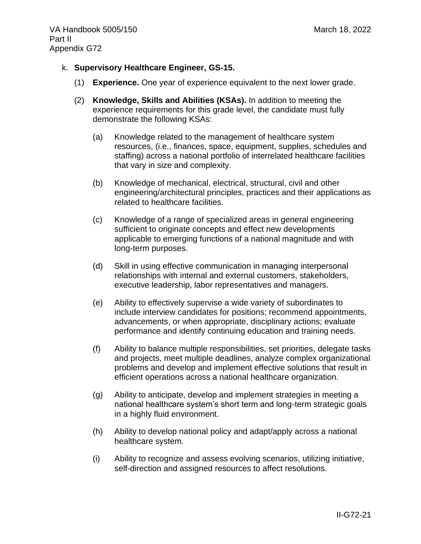- k. **Supervisory Healthcare Engineer, GS-15.**
	- (1) **Experience.** One year of experience equivalent to the next lower grade.
	- (2) **Knowledge, Skills and Abilities (KSAs).** In addition to meeting the experience requirements for this grade level, the candidate must fully demonstrate the following KSAs:
		- (a) Knowledge related to the management of healthcare system resources, (i.e., finances, space, equipment, supplies, schedules and staffing) across a national portfolio of interrelated healthcare facilities that vary in size and complexity.
		- (b) Knowledge of mechanical, electrical, structural, civil and other engineering/architectural principles, practices and their applications as related to healthcare facilities.
		- (c) Knowledge of a range of specialized areas in general engineering sufficient to originate concepts and effect new developments applicable to emerging functions of a national magnitude and with long-term purposes.
		- (d) Skill in using effective communication in managing interpersonal relationships with internal and external customers, stakeholders, executive leadership, labor representatives and managers.
		- (e) Ability to effectively supervise a wide variety of subordinates to include interview candidates for positions; recommend appointments, advancements, or when appropriate, disciplinary actions; evaluate performance and identify continuing education and training needs.
		- (f) Ability to balance multiple responsibilities, set priorities, delegate tasks and projects, meet multiple deadlines, analyze complex organizational problems and develop and implement effective solutions that result in efficient operations across a national healthcare organization.
		- (g) Ability to anticipate, develop and implement strategies in meeting a national healthcare system's short term and long-term strategic goals in a highly fluid environment.
		- (h) Ability to develop national policy and adapt/apply across a national healthcare system.
		- (i) Ability to recognize and assess evolving scenarios, utilizing initiative, self-direction and assigned resources to affect resolutions.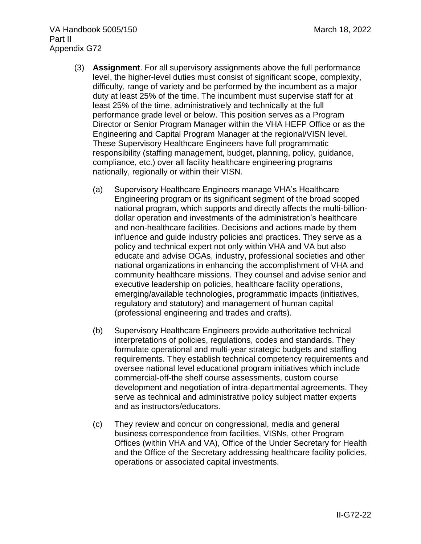- (3) **Assignment**. For all supervisory assignments above the full performance level, the higher-level duties must consist of significant scope, complexity, difficulty, range of variety and be performed by the incumbent as a major duty at least 25% of the time. The incumbent must supervise staff for at least 25% of the time, administratively and technically at the full performance grade level or below. This position serves as a Program Director or Senior Program Manager within the VHA HEFP Office or as the Engineering and Capital Program Manager at the regional/VISN level. These Supervisory Healthcare Engineers have full programmatic responsibility (staffing management, budget, planning, policy, guidance, compliance, etc.) over all facility healthcare engineering programs nationally, regionally or within their VISN.
	- (a) Supervisory Healthcare Engineers manage VHA's Healthcare Engineering program or its significant segment of the broad scoped national program, which supports and directly affects the multi-billiondollar operation and investments of the administration's healthcare and non-healthcare facilities. Decisions and actions made by them influence and guide industry policies and practices. They serve as a policy and technical expert not only within VHA and VA but also educate and advise OGAs, industry, professional societies and other national organizations in enhancing the accomplishment of VHA and community healthcare missions. They counsel and advise senior and executive leadership on policies, healthcare facility operations, emerging/available technologies, programmatic impacts (initiatives, regulatory and statutory) and management of human capital (professional engineering and trades and crafts).
	- (b) Supervisory Healthcare Engineers provide authoritative technical interpretations of policies, regulations, codes and standards. They formulate operational and multi-year strategic budgets and staffing requirements. They establish technical competency requirements and oversee national level educational program initiatives which include commercial-off-the shelf course assessments, custom course development and negotiation of intra-departmental agreements. They serve as technical and administrative policy subject matter experts and as instructors/educators.
	- (c) They review and concur on congressional, media and general business correspondence from facilities, VISNs, other Program Offices (within VHA and VA), Office of the Under Secretary for Health and the Office of the Secretary addressing healthcare facility policies, operations or associated capital investments.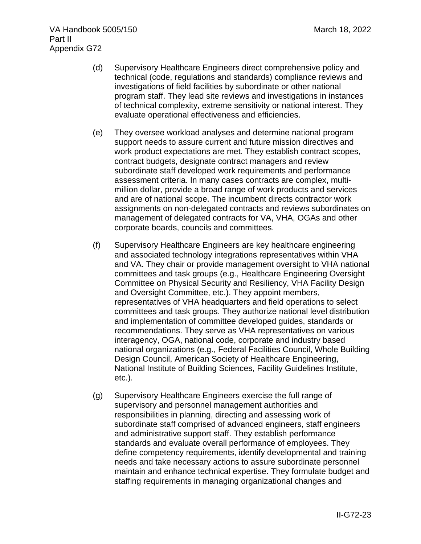- (d) Supervisory Healthcare Engineers direct comprehensive policy and technical (code, regulations and standards) compliance reviews and investigations of field facilities by subordinate or other national program staff. They lead site reviews and investigations in instances of technical complexity, extreme sensitivity or national interest. They evaluate operational effectiveness and efficiencies.
- (e) They oversee workload analyses and determine national program support needs to assure current and future mission directives and work product expectations are met. They establish contract scopes, contract budgets, designate contract managers and review subordinate staff developed work requirements and performance assessment criteria. In many cases contracts are complex, multimillion dollar, provide a broad range of work products and services and are of national scope. The incumbent directs contractor work assignments on non-delegated contracts and reviews subordinates on management of delegated contracts for VA, VHA, OGAs and other corporate boards, councils and committees.
- (f) Supervisory Healthcare Engineers are key healthcare engineering and associated technology integrations representatives within VHA and VA. They chair or provide management oversight to VHA national committees and task groups (e.g., Healthcare Engineering Oversight Committee on Physical Security and Resiliency, VHA Facility Design and Oversight Committee, etc.). They appoint members, representatives of VHA headquarters and field operations to select committees and task groups. They authorize national level distribution and implementation of committee developed guides, standards or recommendations. They serve as VHA representatives on various interagency, OGA, national code, corporate and industry based national organizations (e.g., Federal Facilities Council, Whole Building Design Council, American Society of Healthcare Engineering, National Institute of Building Sciences, Facility Guidelines Institute, etc.).
- (g) Supervisory Healthcare Engineers exercise the full range of supervisory and personnel management authorities and responsibilities in planning, directing and assessing work of subordinate staff comprised of advanced engineers, staff engineers and administrative support staff. They establish performance standards and evaluate overall performance of employees. They define competency requirements, identify developmental and training needs and take necessary actions to assure subordinate personnel maintain and enhance technical expertise. They formulate budget and staffing requirements in managing organizational changes and